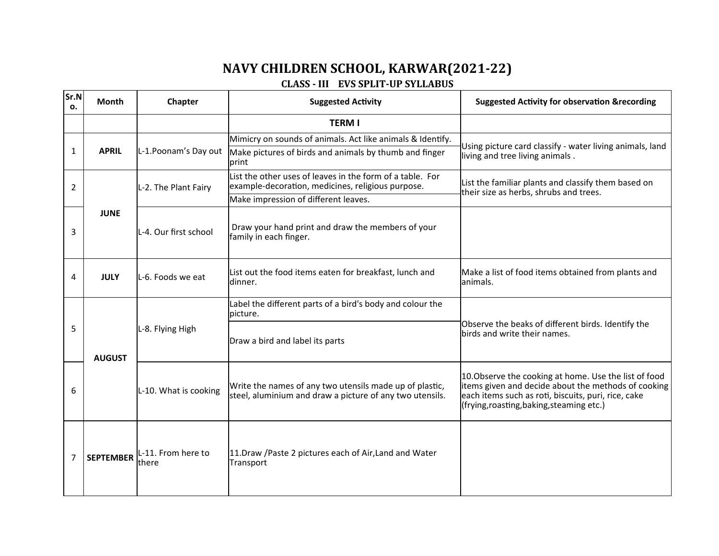## **NAVY CHILDREN SCHOOL, KARWAR(2021-22) CLASS - III EVS SPLIT-UP SYLLABUS**

| Sr.N<br>0. | Month            | Chapter                     | <b>Suggested Activity</b>                                                                                           | <b>Suggested Activity for observation &amp;recording</b>                                                                                                                                                         |
|------------|------------------|-----------------------------|---------------------------------------------------------------------------------------------------------------------|------------------------------------------------------------------------------------------------------------------------------------------------------------------------------------------------------------------|
|            |                  |                             | <b>TERM I</b>                                                                                                       |                                                                                                                                                                                                                  |
|            |                  | L-1. Poonam's Day out       | Mimicry on sounds of animals. Act like animals & Identify.                                                          | Using picture card classify - water living animals, land<br>living and tree living animals.                                                                                                                      |
| 1          | <b>APRIL</b>     |                             | Make pictures of birds and animals by thumb and finger<br>lprint                                                    |                                                                                                                                                                                                                  |
| 2          | <b>JUNE</b>      | L-2. The Plant Fairy        | List the other uses of leaves in the form of a table. For<br>example-decoration, medicines, religious purpose.      | List the familiar plants and classify them based on<br>their size as herbs, shrubs and trees.                                                                                                                    |
|            |                  |                             | Make impression of different leaves.                                                                                |                                                                                                                                                                                                                  |
| 3          |                  | L-4. Our first school       | Draw your hand print and draw the members of your<br>family in each finger.                                         |                                                                                                                                                                                                                  |
| 4          | <b>JULY</b>      | L-6. Foods we eat           | List out the food items eaten for breakfast, lunch and<br>ldinner.                                                  | Make a list of food items obtained from plants and<br>lanimals.                                                                                                                                                  |
|            | <b>AUGUST</b>    | L-8. Flying High            | Label the different parts of a bird's body and colour the<br>picture.                                               | Observe the beaks of different birds. Identify the<br>birds and write their names.                                                                                                                               |
| 5          |                  |                             | Draw a bird and label its parts                                                                                     |                                                                                                                                                                                                                  |
| 6          |                  | L-10. What is cooking       | Write the names of any two utensils made up of plastic,<br>steel, aluminium and draw a picture of any two utensils. | 10. Observe the cooking at home. Use the list of food<br>items given and decide about the methods of cooking<br>each items such as roti, biscuits, puri, rice, cake<br>(frying, roasting, baking, steaming etc.) |
| 7          | <b>SEPTEMBER</b> | L-11. From here to<br>there | 11. Draw / Paste 2 pictures each of Air, Land and Water<br>Transport                                                |                                                                                                                                                                                                                  |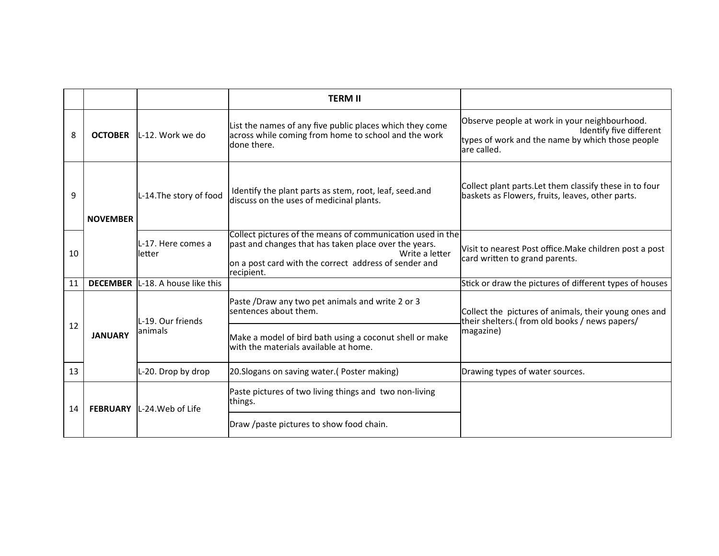|    |                 |                                         | <b>TERM II</b>                                                                                                                                                                                               |                                                                                                                                             |
|----|-----------------|-----------------------------------------|--------------------------------------------------------------------------------------------------------------------------------------------------------------------------------------------------------------|---------------------------------------------------------------------------------------------------------------------------------------------|
| 8  | <b>OCTOBER</b>  | lL-12. Work we do                       | List the names of any five public places which they come<br>across while coming from home to school and the work<br>ldone there.                                                                             | Observe people at work in your neighbourhood.<br>Identify five different<br>types of work and the name by which those people<br>are called. |
| 9  | <b>NOVEMBER</b> | L-14. The story of food                 | Identify the plant parts as stem, root, leaf, seed.and<br>discuss on the uses of medicinal plants.                                                                                                           | Collect plant parts. Let them classify these in to four<br>baskets as Flowers, fruits, leaves, other parts.                                 |
| 10 |                 | lL-17. Here comes a<br>letter           | Collect pictures of the means of communication used in the<br>past and changes that has taken place over the years.<br>Write a letter<br>on a post card with the correct address of sender and<br>recipient. | Visit to nearest Post office. Make children post a post<br>card written to grand parents.                                                   |
| 11 |                 | <b>DECEMBER</b> L-18. A house like this |                                                                                                                                                                                                              | Stick or draw the pictures of different types of houses                                                                                     |
| 12 | <b>JANUARY</b>  | L-19. Our friends<br>lanimals           | Paste /Draw any two pet animals and write 2 or 3<br>sentences about them.<br>Make a model of bird bath using a coconut shell or make<br>with the materials available at home.                                | Collect the pictures of animals, their young ones and<br>their shelters.(from old books / news papers/<br>magazine)                         |
| 13 |                 | L-20. Drop by drop                      | 20. Slogans on saving water. (Poster making)                                                                                                                                                                 | Drawing types of water sources.                                                                                                             |
| 14 | <b>FEBRUARY</b> | L-24. Web of Life                       | Paste pictures of two living things and two non-living<br>things.                                                                                                                                            |                                                                                                                                             |
|    |                 |                                         | Draw /paste pictures to show food chain.                                                                                                                                                                     |                                                                                                                                             |